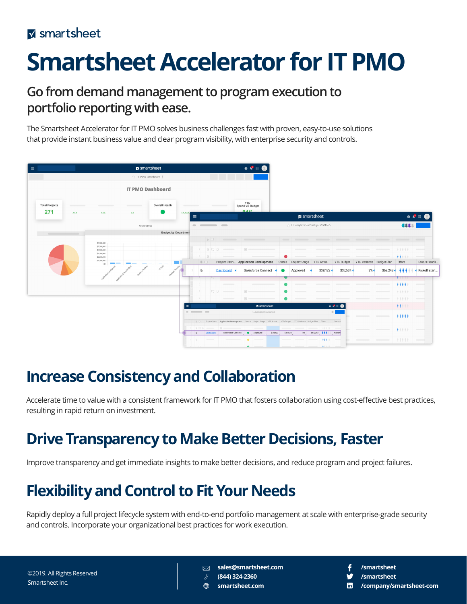# **Smartsheet Accelerator for IT PMO**

### **Go from demand management to program execution to portfolio reporting with ease.**

The Smartsheet Accelerator for IT PMO solves business challenges fast with proven, easy-to-use solutions that provide instant business value and clear program visibility, with enterprise security and controls.



### **Increase Consistency and Collaboration**

Accelerate time to value with a consistent framework for IT PMO that fosters collaboration using cost-effective best practices, resulting in rapid return on investment.

### **Drive Transparency to Make Better Decisions, Faster**

Improve transparency and get immediate insights to make better decisions, and reduce program and project failures.

## **Flexibility and Control to Fit Your Needs**

Rapidly deploy a full project lifecycle system with end-to-end portfolio management at scale with enterprise-grade security and controls. Incorporate your organizational best practices for work execution.

**sales@smartsheet.com** ⊠

**(844) 324-2360** ℛ **smartsheet.com**

- **/smartsheet**
	- **/smartsheet**
	- **/company/smartsheet-com**